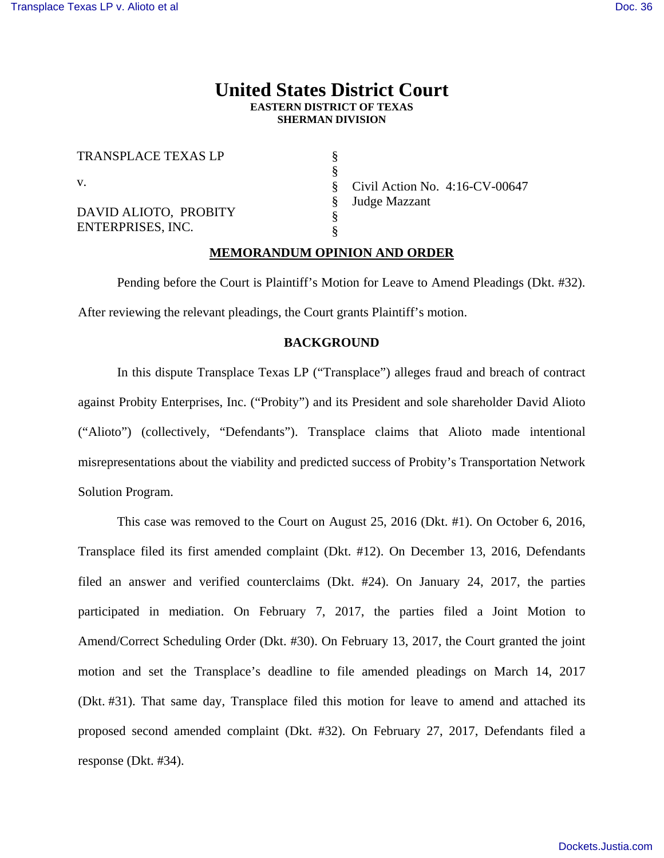# **United States District Court EASTERN DISTRICT OF TEXAS SHERMAN DIVISION**

§ § § § § §

TRANSPLACE TEXAS LP v. DAVID ALIOTO, PROBITY ENTERPRISES, INC.

Civil Action No. 4:16-CV-00647 Judge Mazzant

# **MEMORANDUM OPINION AND ORDER**

 Pending before the Court is Plaintiff's Motion for Leave to Amend Pleadings (Dkt. #32). After reviewing the relevant pleadings, the Court grants Plaintiff's motion.

# **BACKGROUND**

In this dispute Transplace Texas LP ("Transplace") alleges fraud and breach of contract against Probity Enterprises, Inc. ("Probity") and its President and sole shareholder David Alioto ("Alioto") (collectively, "Defendants"). Transplace claims that Alioto made intentional misrepresentations about the viability and predicted success of Probity's Transportation Network Solution Program.

This case was removed to the Court on August 25, 2016 (Dkt. #1). On October 6, 2016, Transplace filed its first amended complaint (Dkt. #12). On December 13, 2016, Defendants filed an answer and verified counterclaims (Dkt. #24). On January 24, 2017, the parties participated in mediation. On February 7, 2017, the parties filed a Joint Motion to Amend/Correct Scheduling Order (Dkt. #30). On February 13, 2017, the Court granted the joint motion and set the Transplace's deadline to file amended pleadings on March 14, 2017 (Dkt. #31). That same day, Transplace filed this motion for leave to amend and attached its proposed second amended complaint (Dkt. #32). On February 27, 2017, Defendants filed a response (Dkt. #34).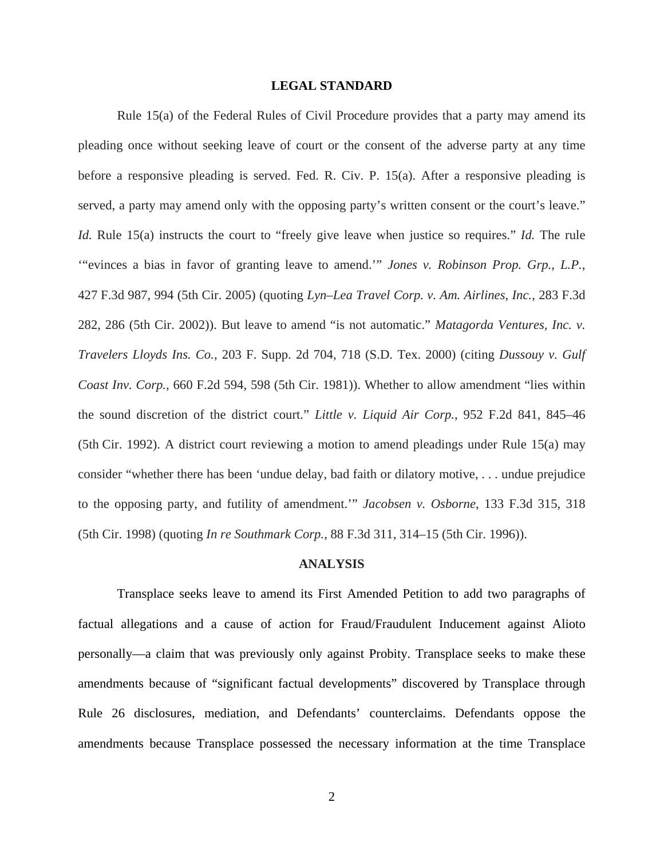## **LEGAL STANDARD**

Rule 15(a) of the Federal Rules of Civil Procedure provides that a party may amend its pleading once without seeking leave of court or the consent of the adverse party at any time before a responsive pleading is served. Fed. R. Civ. P. 15(a). After a responsive pleading is served, a party may amend only with the opposing party's written consent or the court's leave." *Id.* Rule 15(a) instructs the court to "freely give leave when justice so requires." *Id.* The rule '"evinces a bias in favor of granting leave to amend.'" *Jones v. Robinson Prop. Grp., L.P.*, 427 F.3d 987, 994 (5th Cir. 2005) (quoting *Lyn–Lea Travel Corp. v. Am. Airlines, Inc.*, 283 F.3d 282, 286 (5th Cir. 2002)). But leave to amend "is not automatic." *Matagorda Ventures, Inc. v. Travelers Lloyds Ins. Co.*, 203 F. Supp. 2d 704, 718 (S.D. Tex. 2000) (citing *Dussouy v. Gulf Coast Inv. Corp.*, 660 F.2d 594, 598 (5th Cir. 1981)). Whether to allow amendment "lies within the sound discretion of the district court." *Little v. Liquid Air Corp.*, 952 F.2d 841, 845–46 (5th Cir. 1992). A district court reviewing a motion to amend pleadings under Rule 15(a) may consider "whether there has been 'undue delay, bad faith or dilatory motive, . . . undue prejudice to the opposing party, and futility of amendment.'" *Jacobsen v. Osborne*, 133 F.3d 315, 318 (5th Cir. 1998) (quoting *In re Southmark Corp.*, 88 F.3d 311, 314–15 (5th Cir. 1996)).

#### **ANALYSIS**

 Transplace seeks leave to amend its First Amended Petition to add two paragraphs of factual allegations and a cause of action for Fraud/Fraudulent Inducement against Alioto personally—a claim that was previously only against Probity. Transplace seeks to make these amendments because of "significant factual developments" discovered by Transplace through Rule 26 disclosures, mediation, and Defendants' counterclaims. Defendants oppose the amendments because Transplace possessed the necessary information at the time Transplace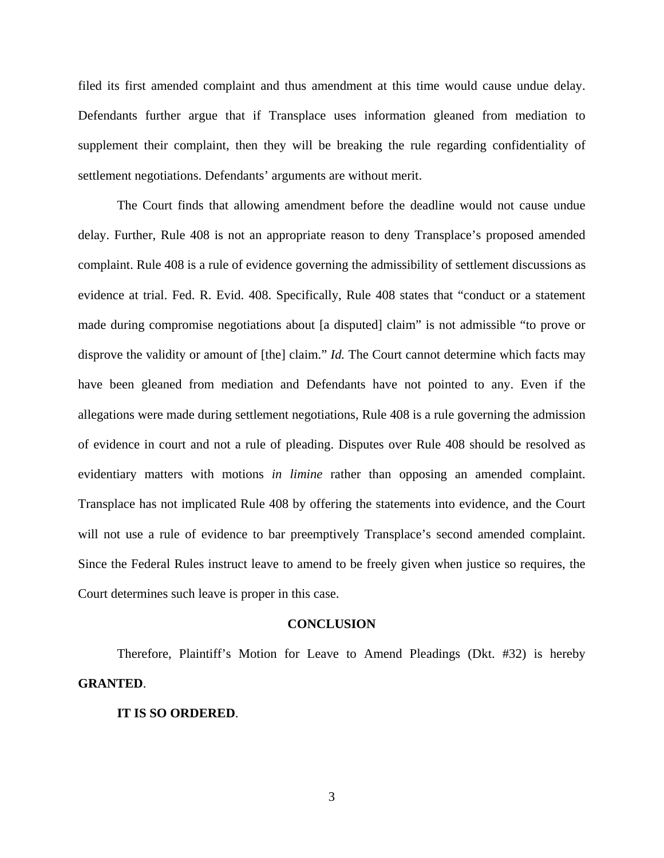filed its first amended complaint and thus amendment at this time would cause undue delay. Defendants further argue that if Transplace uses information gleaned from mediation to supplement their complaint, then they will be breaking the rule regarding confidentiality of settlement negotiations. Defendants' arguments are without merit.

 The Court finds that allowing amendment before the deadline would not cause undue delay. Further, Rule 408 is not an appropriate reason to deny Transplace's proposed amended complaint. Rule 408 is a rule of evidence governing the admissibility of settlement discussions as evidence at trial. Fed. R. Evid. 408. Specifically, Rule 408 states that "conduct or a statement made during compromise negotiations about [a disputed] claim" is not admissible "to prove or disprove the validity or amount of [the] claim." *Id.* The Court cannot determine which facts may have been gleaned from mediation and Defendants have not pointed to any. Even if the allegations were made during settlement negotiations, Rule 408 is a rule governing the admission of evidence in court and not a rule of pleading. Disputes over Rule 408 should be resolved as evidentiary matters with motions *in limine* rather than opposing an amended complaint. Transplace has not implicated Rule 408 by offering the statements into evidence, and the Court will not use a rule of evidence to bar preemptively Transplace's second amended complaint. Since the Federal Rules instruct leave to amend to be freely given when justice so requires, the Court determines such leave is proper in this case.

#### **CONCLUSION**

 Therefore, Plaintiff's Motion for Leave to Amend Pleadings (Dkt. #32) is hereby **GRANTED**.

## **IT IS SO ORDERED**.